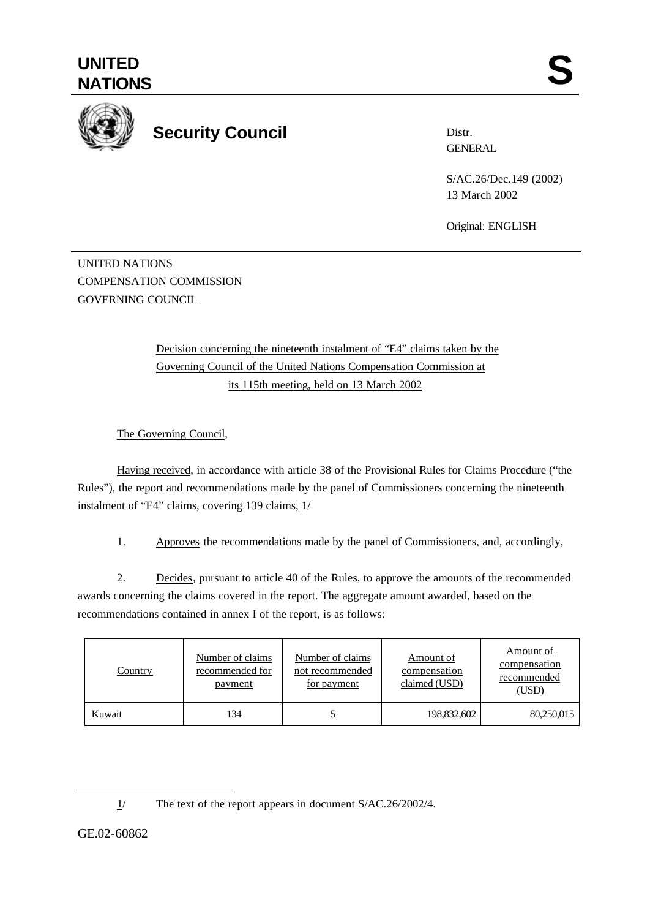

## **Security Council**

Distr. **GENERAL** 

S/AC.26/Dec.149 (2002) 13 March 2002

Original: ENGLISH

UNITED NATIONS COMPENSATION COMMISSION GOVERNING COUNCIL

> Decision concerning the nineteenth instalment of "E4" claims taken by the Governing Council of the United Nations Compensation Commission at its 115th meeting, held on 13 March 2002

The Governing Council,

Having received, in accordance with article 38 of the Provisional Rules for Claims Procedure ("the Rules"), the report and recommendations made by the panel of Commissioners concerning the nineteenth instalment of "E4" claims, covering 139 claims,  $1/$ 

1. Approves the recommendations made by the panel of Commissioners, and, accordingly,

2. Decides, pursuant to article 40 of the Rules, to approve the amounts of the recommended awards concerning the claims covered in the report. The aggregate amount awarded, based on the recommendations contained in annex I of the report, is as follows:

| <b>Country</b> | Number of claims<br>recommended for<br><u>payment</u> | Number of claims<br>not recommended<br><u>for payment</u> | Amount of<br>compensation<br>claimed (USD) | Amount of<br>compensation<br>recommended<br>(USD) |
|----------------|-------------------------------------------------------|-----------------------------------------------------------|--------------------------------------------|---------------------------------------------------|
| Kuwait         | 134                                                   |                                                           | 198,832,602                                | 80,250,015                                        |

l

<sup>1/</sup> The text of the report appears in document S/AC.26/2002/4.